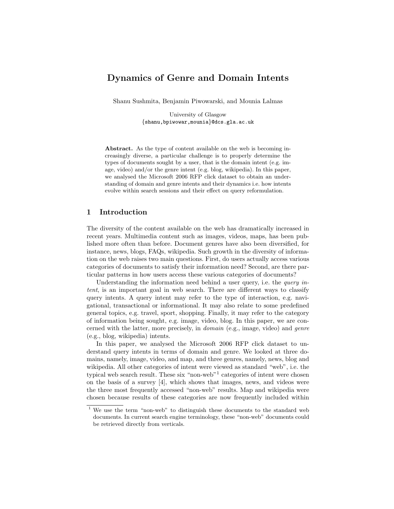# Dynamics of Genre and Domain Intents

Shanu Sushmita, Benjamin Piwowarski, and Mounia Lalmas

University of Glasgow {shanu,bpiwowar,mounia}@dcs.gla.ac.uk

Abstract. As the type of content available on the web is becoming increasingly diverse, a particular challenge is to properly determine the types of documents sought by a user, that is the domain intent (e.g. image, video) and/or the genre intent (e.g. blog, wikipedia). In this paper, we analysed the Microsoft 2006 RFP click dataset to obtain an understanding of domain and genre intents and their dynamics i.e. how intents evolve within search sessions and their effect on query reformulation.

# 1 Introduction

The diversity of the content available on the web has dramatically increased in recent years. Multimedia content such as images, videos, maps, has been published more often than before. Document genres have also been diversified, for instance, news, blogs, FAQs, wikipedia. Such growth in the diversity of information on the web raises two main questions. First, do users actually access various categories of documents to satisfy their information need? Second, are there particular patterns in how users access these various categories of documents?

Understanding the information need behind a user query, i.e. the *query in*tent, is an important goal in web search. There are different ways to classify query intents. A query intent may refer to the type of interaction, e.g. navigational, transactional or informational. It may also relate to some predefined general topics, e.g. travel, sport, shopping. Finally, it may refer to the category of information being sought, e.g. image, video, blog. In this paper, we are concerned with the latter, more precisely, in domain (e.g., image, video) and genre (e.g., blog, wikipedia) intents.

In this paper, we analysed the Microsoft 2006 RFP click dataset to understand query intents in terms of domain and genre. We looked at three domains, namely, image, video, and map, and three genres, namely, news, blog and wikipedia. All other categories of intent were viewed as standard "web", i.e. the typical web search result. These six "non-web"<sup>1</sup> categories of intent were chosen on the basis of a survey [4], which shows that images, news, and videos were the three most frequently accessed "non-web" results. Map and wikipedia were chosen because results of these categories are now frequently included within

<sup>&</sup>lt;sup>1</sup> We use the term "non-web" to distinguish these documents to the standard web documents. In current search engine terminology, these "non-web" documents could be retrieved directly from verticals.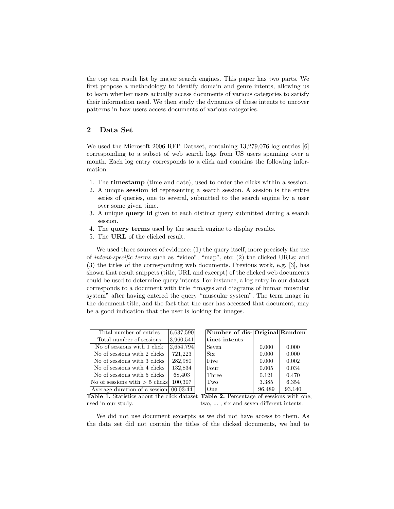the top ten result list by major search engines. This paper has two parts. We first propose a methodology to identify domain and genre intents, allowing us to learn whether users actually access documents of various categories to satisfy their information need. We then study the dynamics of these intents to uncover patterns in how users access documents of various categories.

#### 2 Data Set

We used the Microsoft 2006 RFP Dataset, containing 13,279,076 log entries [6] corresponding to a subset of web search logs from US users spanning over a month. Each log entry corresponds to a click and contains the following information:

- 1. The timestamp (time and date), used to order the clicks within a session.
- 2. A unique session id representing a search session. A session is the entire series of queries, one to several, submitted to the search engine by a user over some given time.
- 3. A unique query id given to each distinct query submitted during a search session.
- 4. The query terms used by the search engine to display results.
- 5. The URL of the clicked result.

We used three sources of evidence: (1) the query itself, more precisely the use of intent-specific terms such as "video", "map", etc; (2) the clicked URLs; and (3) the titles of the corresponding web documents. Previous work, e.g. [3], has shown that result snippets (title, URL and excerpt) of the clicked web documents could be used to determine query intents. For instance, a log entry in our dataset corresponds to a document with title "images and diagrams of human muscular system" after having entered the query "muscular system". The term image in the document title, and the fact that the user has accessed that document, may be a good indication that the user is looking for images.

| Total number of entries          | 6,637,590 |
|----------------------------------|-----------|
| Total number of sessions         | 3,960,541 |
| No of sessions with 1 click      | 2,654,794 |
| No of sessions with 2 clicks     | 721,223   |
| No of sessions with 3 clicks     | 282,980   |
| No of sessions with 4 clicks     | 132,834   |
| No of sessions with 5 clicks     | 68,403    |
| No of sessions with $> 5$ clicks | 100,307   |
| Average duration of a session    | 00:03:44  |
|                                  |           |

| Number of dis-Original Random |        |        |
|-------------------------------|--------|--------|
| tinct intents                 |        |        |
| Seven                         | 0.000  | 0.000  |
| Six                           | 0.000  | 0.000  |
| Five                          | 0.000  | 0.002  |
| Four                          | 0.005  | 0.034  |
| Three                         | 0.121  | 0.470  |
| Two                           | 3.385  | 6.354  |
| )ne                           | 96.489 | 93.140 |

Table 1. Statistics about the click dataset Table 2. Percentage of sessions with one, used in our study.

two, ... , six and seven different intents.

We did not use document excerpts as we did not have access to them. As the data set did not contain the titles of the clicked documents, we had to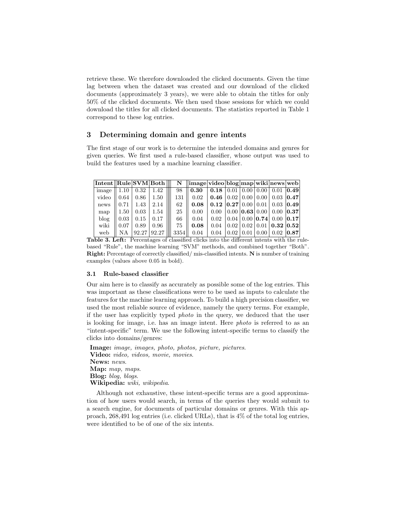retrieve these. We therefore downloaded the clicked documents. Given the time lag between when the dataset was created and our download of the clicked documents (approximately 3 years), we were able to obtain the titles for only 50% of the clicked documents. We then used those sessions for which we could download the titles for all clicked documents. The statistics reported in Table 1 correspond to these log entries.

### 3 Determining domain and genre intents

The first stage of our work is to determine the intended domains and genres for given queries. We first used a rule-based classifier, whose output was used to build the features used by a machine learning classifier.

| $ \mathrm{Internet}\ \mathrm{Rule} \mathrm{SVM} \mathrm{Both}\ \ $ |      |      |                    |      | $\mathbf{N}$   image video blog map wiki news web |                                         |                  |  |                                                                |      |
|--------------------------------------------------------------------|------|------|--------------------|------|---------------------------------------------------|-----------------------------------------|------------------|--|----------------------------------------------------------------|------|
| image                                                              | 1.10 | 0.32 | 1.42               | 98   | 0.30                                              | <b>0.18</b>   0.01   0.00   0.00   0.01 |                  |  |                                                                | 0.49 |
| video                                                              | 0.64 | 0.86 | 1.50               | 131  | 0.02                                              | $0.46$   0.02   0.00   0.00             |                  |  | 0.03                                                           | 0.47 |
| news                                                               | 0.71 | 1.43 | 2.14               | 62   | 0.08                                              |                                         |                  |  | 0.12 $\vert 0.27 \vert 0.00 \vert 0.01 \vert 0.03$             | 0.49 |
| map                                                                | 1.50 | 0.03 | 1.54               | 25   | 0.00                                              | $0.00 -$                                |                  |  | $\vert 0.00 \vert 0.63 \vert 0.00 \vert 0.00 \vert 0.37 \vert$ |      |
| blog                                                               | 0.03 | 0.15 | 0.17               | 66   | 0.04                                              | 0.02                                    |                  |  | $\vert 0.04 \vert 0.00 \vert 0.74 \vert 0.00 \vert 0.17 \vert$ |      |
| wiki                                                               | 0.07 | 0.89 | 0.96               | 75   | 0.08                                              | 0.04                                    |                  |  | $(0.02 \mid 0.02 \mid 0.01 \mid 0.32 \mid 0.52)$               |      |
| web                                                                | NΑ   |      | $92.27 \mid 92.27$ | 3354 | 0.04                                              | 0.04                                    | $0.02 \mid 0.01$ |  | $\vert 0.00 \vert 0.02$                                        | 0.87 |

Table 3. Left: Percentages of classified clicks into the different intents with the rulebased "Rule", the machine learning "SVM" methods, and combined together "Both". Right: Percentage of correctly classified/ mis-classified intents. N is number of training examples (values above 0.05 in bold).

#### 3.1 Rule-based classifier

Our aim here is to classify as accurately as possible some of the log entries. This was important as these classifications were to be used as inputs to calculate the features for the machine learning approach. To build a high precision classifier, we used the most reliable source of evidence, namely the query terms. For example, if the user has explicitly typed photo in the query, we deduced that the user is looking for image, i.e. has an image intent. Here photo is referred to as an "intent-specific" term. We use the following intent-specific terms to classify the clicks into domains/genres:

Image: image, images, photo, photos, picture, pictures. Video: video, videos, movie, movies. News: news. Map: map, maps. Blog: blog, blogs. Wikipedia: wiki, wikipedia.

Although not exhaustive, these intent-specific terms are a good approximation of how users would search, in terms of the queries they would submit to a search engine, for documents of particular domains or genres. With this approach, 268,491 log entries (i.e. clicked URLs), that is 4% of the total log entries, were identified to be of one of the six intents.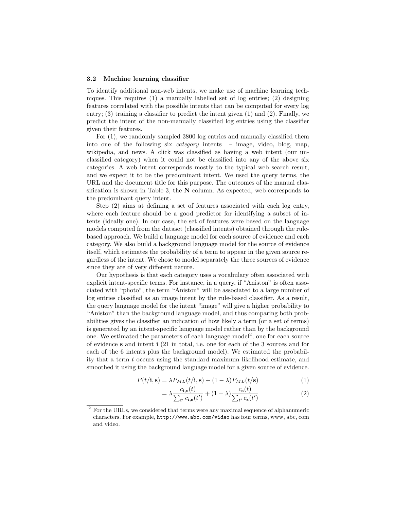#### 3.2 Machine learning classifier

To identify additional non-web intents, we make use of machine learning techniques. This requires (1) a manually labelled set of log entries; (2) designing features correlated with the possible intents that can be computed for every log entry; (3) training a classifier to predict the intent given (1) and (2). Finally, we predict the intent of the non-manually classified log entries using the classifier given their features.

For (1), we randomly sampled 3800 log entries and manually classified them into one of the following six *category* intents – image, video, blog, map, wikipedia, and news. A click was classified as having a web intent (our unclassified category) when it could not be classified into any of the above six categories. A web intent corresponds mostly to the typical web search result, and we expect it to be the predominant intent. We used the query terms, the URL and the document title for this purpose. The outcomes of the manual classification is shown in Table 3, the  $N$  column. As expected, web corresponds to the predominant query intent.

Step (2) aims at defining a set of features associated with each log entry, where each feature should be a good predictor for identifying a subset of intents (ideally one). In our case, the set of features were based on the language models computed from the dataset (classified intents) obtained through the rulebased approach. We build a language model for each source of evidence and each category. We also build a background language model for the source of evidence itself, which estimates the probability of a term to appear in the given source regardless of the intent. We chose to model separately the three sources of evidence since they are of very different nature.

Our hypothesis is that each category uses a vocabulary often associated with explicit intent-specific terms. For instance, in a query, if "Aniston" is often associated with "photo", the term "Aniston" will be associated to a large number of log entries classified as an image intent by the rule-based classifier. As a result, the query language model for the intent "image" will give a higher probability to "Aniston" than the background language model, and thus comparing both probabilities gives the classifier an indication of how likely a term (or a set of terms) is generated by an intent-specific language model rather than by the background one. We estimated the parameters of each language model<sup>2</sup>, one for each source of evidence s and intent i (21 in total, i.e. one for each of the 3 sources and for each of the 6 intents plus the background model). We estimated the probability that a term t occurs using the standard maximum likelihood estimate, and smoothed it using the background language model for a given source of evidence.

$$
P(t/\mathbf{i}, \mathbf{s}) = \lambda P_{ML}(t/\mathbf{i}, \mathbf{s}) + (1 - \lambda) P_{ML}(t/\mathbf{s})
$$
\n(1)

$$
= \lambda \frac{c_{\mathbf{i},\mathbf{s}}(t)}{\sum_{t'} c_{\mathbf{i},\mathbf{s}}(t')} + (1 - \lambda) \frac{c_{\mathbf{s}}(t)}{\sum_{t'} c_{\mathbf{s}}(t')}
$$
 (2)

<sup>&</sup>lt;sup>2</sup> For the URLs, we considered that terms were any maximal sequence of alphanumeric characters. For example, http://www.abc.com/video has four terms, www, abc, com and video.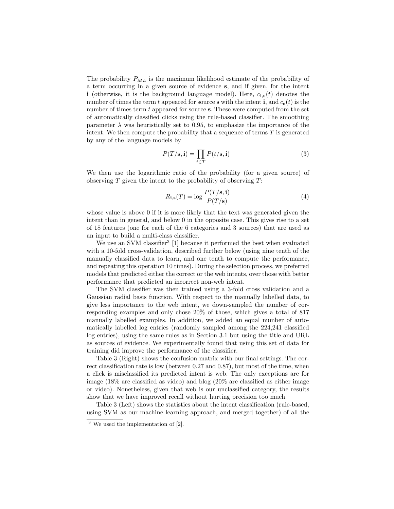The probability  $P_{ML}$  is the maximum likelihood estimate of the probability of a term occurring in a given source of evidence s, and if given, for the intent i (otherwise, it is the background language model). Here,  $c_{i,s}(t)$  denotes the number of times the term t appeared for source s with the intent i, and  $c_s(t)$  is the number of times term  $t$  appeared for source  $s$ . These were computed from the set of automatically classified clicks using the rule-based classifier. The smoothing parameter  $\lambda$  was heuristically set to 0.95, to emphasize the importance of the intent. We then compute the probability that a sequence of terms  $T$  is generated by any of the language models by

$$
P(T/\mathbf{s}, \mathbf{i}) = \prod_{t \in T} P(t/\mathbf{s}, \mathbf{i})
$$
 (3)

We then use the logarithmic ratio of the probability (for a given source) of observing  $T$  given the intent to the probability of observing  $T$ :

$$
R_{\mathbf{i},\mathbf{s}}(T) = \log \frac{P(T/\mathbf{s}, \mathbf{i})}{P(T/\mathbf{s})}
$$
(4)

whose value is above 0 if it is more likely that the text was generated given the intent than in general, and below 0 in the opposite case. This gives rise to a set of 18 features (one for each of the 6 categories and 3 sources) that are used as an input to build a multi-class classifier.

We use an SVM classifier<sup>3</sup> [1] because it performed the best when evaluated with a 10-fold cross-validation, described further below (using nine tenth of the manually classified data to learn, and one tenth to compute the performance, and repeating this operation 10 times). During the selection process, we preferred models that predicted either the correct or the web intents, over those with better performance that predicted an incorrect non-web intent.

The SVM classifier was then trained using a 3-fold cross validation and a Gaussian radial basis function. With respect to the manually labelled data, to give less importance to the web intent, we down-sampled the number of corresponding examples and only chose 20% of those, which gives a total of 817 manually labelled examples. In addition, we added an equal number of automatically labelled log entries (randomly sampled among the 224,241 classified log entries), using the same rules as in Section 3.1 but using the title and URL as sources of evidence. We experimentally found that using this set of data for training did improve the performance of the classifier.

Table 3 (Right) shows the confusion matrix with our final settings. The correct classification rate is low (between 0.27 and 0.87), but most of the time, when a click is misclassified its predicted intent is web. The only exceptions are for image (18% are classified as video) and blog (20% are classified as either image or video). Nonetheless, given that web is our unclassified category, the results show that we have improved recall without hurting precision too much.

Table 3 (Left) shows the statistics about the intent classification (rule-based, using SVM as our machine learning approach, and merged together) of all the

<sup>&</sup>lt;sup>3</sup> We used the implementation of [2].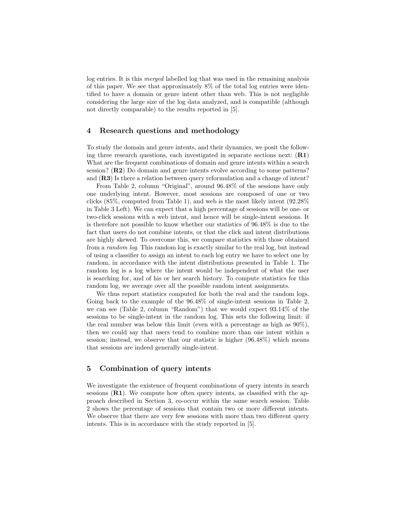log entries. It is this merged labelled log that was used in the remaining analysis of this paper. We see that approximately 8% of the total log entries were identified to have a domain or genre intent other than web. This is not negligible considering the large size of the log data analyzed, and is compatible (although not directly comparable) to the results reported in [5].

# 4 Research questions and methodology

To study the domain and genre intents, and their dynamics, we posit the following three research questions, each investigated in separate sections next:  $(R1)$ What are the frequent combinations of domain and genre intents within a search session? (R2) Do domain and genre intents evolve according to some patterns? and (R3) Is there a relation between query reformulation and a change of intent?

From Table 2, column "Original", around 96.48% of the sessions have only one underlying intent. However, most sessions are composed of one or two clicks (85%, computed from Table 1), and web is the most likely intent (92.28% in Table 3 Left). We can expect that a high percentage of sessions will be one- or two-click sessions with a web intent, and hence will be single-intent sessions. It is therefore not possible to know whether our statistics of 96.48% is due to the fact that users do not combine intents, or that the click and intent distributions are highly skewed. To overcome this, we compare statistics with those obtained from a random log. This random log is exactly similar to the real log, but instead of using a classifier to assign an intent to each log entry we have to select one by random, in accordance with the intent distributions presented in Table 1. The random log is a log where the intent would be independent of what the user is searching for, and of his or her search history. To compute statistics for this random log, we average over all the possible random intent assignments.

We thus report statistics computed for both the real and the random logs. Going back to the example of the  $96.48\%$  of single-intent sessions in Table 2, we can see (Table 2, column "Random") that we would expect 93.14% of the sessions to be single-intent in the random log. This sets the following limit: if the real number was below this limit (even with a percentage as high as 90%), then we could say that users tend to combine more than one intent within a session; instead, we observe that our statistic is higher (96.48%) which means that sessions are indeed generally single-intent.

# 5 Combination of query intents

We investigate the existence of frequent combinations of query intents in search sessions  $(R1)$ . We compute how often query intents, as classified with the approach described in Section 3, co-occur within the same search session. Table 2 shows the percentage of sessions that contain two or more different intents. We observe that there are very few sessions with more than two different query intents. This is in accordance with the study reported in [5].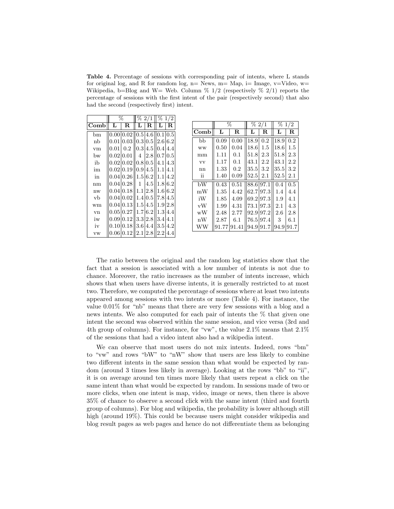Table 4. Percentage of sessions with corresponding pair of intents, where L stands for original log, and R for random log, n= News, m= Map, i= Image,  $v=V$ ideo,  $w=$ Wikipedia, b=Blog and W= Web. Column  $\%$  1/2 (respectively  $\%$  2/1) reports the percentage of sessions with the first intent of the pair (respectively second) that also had the second (respectively first) intent.

|           | $\%$      |                             |              | $\% 2/1 \, \ \% 1/2$         |         |         |
|-----------|-----------|-----------------------------|--------------|------------------------------|---------|---------|
| Comb      | L         | R.                          |              | $\mathbf{L} \mid \mathbf{R}$ | L R     |         |
| bm        |           | 0.00 0.02 0.5 4.6 0.1 0.5   |              |                              |         |         |
| nb        |           | 0.01 0.03                   |              | 0.3 0.5 2.6 6.2              |         |         |
| vm        | 0.01      | 0.2                         |              | 0.3 4.5  0.4 4.4             |         |         |
| bw        | 0.02 0.01 |                             | 4            | 2.8  0.7 0.5                 |         |         |
| ib        |           | 0.02 0.02                   |              | 0.8 0.5                      | 4.1 4.3 |         |
| im        |           | 0.02 0.19                   |              | 0.9 4.5                      | 1.1 4.1 |         |
| in        |           | 0.04 0.26                   |              | 1.5 6.2                      | 1.1 4.2 |         |
| nm        |           | 0.04 0.28                   | $\mathbf{1}$ | 4.51                         |         | 1.8 6.2 |
| nw        |           | 0.04 0.18                   |              | 1.1 2.8  1.6 6.2             |         |         |
| vb        |           | 0.04 0.02                   |              | 1.4 0.5                      | 7.8 4.5 |         |
| wm        |           | 0.04 0.13                   |              | 1.5 4.5                      | 1.9 2.8 |         |
| vn        |           | 0.05 0.27                   |              | 1.7 6.2                      | 1.3 4.4 |         |
| iw        |           | 0.09 0.12                   |              | 3.3 2.8                      | 3.4 4.1 |         |
| iv        |           | 0.10 0.18                   |              | 3.6 4.4  3.5 4.2             |         |         |
| <b>VW</b> |           | 0.06 0.12  2.1 2.8  2.2 4.4 |              |                              |         |         |

|           | $\%$     |              |           | % 2/1       |      | % 1/2 |
|-----------|----------|--------------|-----------|-------------|------|-------|
| Comb      | L        | $\mathbf{R}$ | L         | $\mathbf R$ | L    | R.    |
| bb        | 0.09     | 0.00         | 18.9      | 0.2         | 18.9 | 0.2   |
| ww        | 0.50     | 0.04         | 18.6      | 1.5         | 18.6 | 1.5   |
| mm        | 1.11     | 0.1          | 51.8      | 2.3         | 51.8 | 2.3   |
| <b>VV</b> | 1.17     | 0.1          | 43.1      | 2.2         | 43.1 | 2.2   |
| nn        | $1.33\,$ | 0.2          | 35.5      | 3.2         | 35.5 | 3.2   |
| ii        | 1.40     | 0.09         | 52.5      | 2.1         | 52.5 | 2.1   |
| bW        | 0.43     | 0.51         | 88.6 97.1 |             | 0.4  | 0.5   |
| mW        | 1.35     | 4.42         |           | 62.7 97.3   | 1.4  | 4.4   |
| iW        | 1.85     | 4.09         |           | 69.2 97.3   | 1.9  | 4.1   |
| vW        | 1.99     | 4.31         |           | 73.1 97.3   | 2.1  | 4.3   |
| wW        | 2.48     | 2.77         |           | 92.9 97.2   | 2.6  | 2.8   |
| nW        | 2.87     | 6.1          |           | 76.5 97.4   | 3    | 6.1   |
| WW        | 91.77    | 91.41        |           | 94.9 91.7   | 94.9 | 91.7  |

The ratio between the original and the random log statistics show that the fact that a session is associated with a low number of intents is not due to chance. Moreover, the ratio increases as the number of intents increase, which shows that when users have diverse intents, it is generally restricted to at most two. Therefore, we computed the percentage of sessions where at least two intents appeared among sessions with two intents or more (Table 4). For instance, the value 0.01% for "nb" means that there are very few sessions with a blog and a news intents. We also computed for each pair of intents the % that given one intent the second was observed within the same session, and vice versa (3rd and 4th group of columns). For instance, for "vw", the value 2.1% means that 2.1% of the sessions that had a video intent also had a wikipedia intent.

We can observe that most users do not mix intents. Indeed, rows "bm" to "vw" and rows "bW" to "nW" show that users are less likely to combine two different intents in the same session than what would be expected by random (around 3 times less likely in average). Looking at the rows "bb" to "ii", it is on average around ten times more likely that users repeat a click on the same intent than what would be expected by random. In sessions made of two or more clicks, when one intent is map, video, image or news, then there is above 35% of chance to observe a second click with the same intent (third and fourth group of columns). For blog and wikipedia, the probability is lower although still high (around 19%). This could be because users might consider wikipedia and blog result pages as web pages and hence do not differentiate them as belonging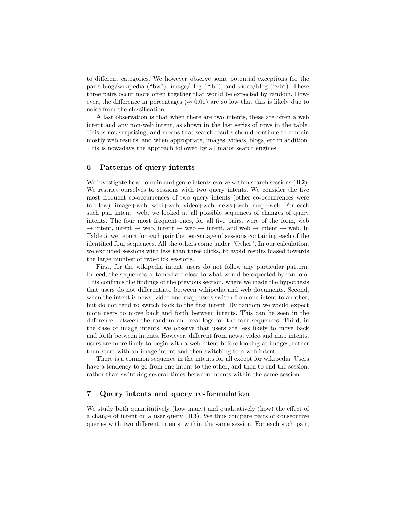to different categories. We however observe some potential exceptions for the pairs blog/wikipedia ("bw"), image/blog ("ib"), and video/blog ("vb"). These three pairs occur more often together that would be expected by random. However, the difference in percentages ( $\approx 0.01$ ) are so low that this is likely due to noise from the classification.

A last observation is that when there are two intents, these are often a web intent and any non-web intent, as shown in the last series of rows in the table. This is not surprising, and means that search results should continue to contain mostly web results, and when appropriate, images, videos, blogs, etc in addition. This is nowadays the approach followed by all major search engines.

## 6 Patterns of query intents

We investigate how domain and genre intents evolve within search sessions  $(R2)$ . We restrict ourselves to sessions with two query intents. We consider the five most frequent co-occurrences of two query intents (other co-occurrences were too low): image+web, wiki+web, video+web, news+web, map+web. For each such pair intent+web, we looked at all possible sequences of changes of query intents. The four most frequent ones, for all five pairs, were of the form, web  $\rightarrow$  intent, intent  $\rightarrow$  web, intent  $\rightarrow$  web  $\rightarrow$  intent, and web  $\rightarrow$  intent  $\rightarrow$  web. In Table 5, we report for each pair the percentage of sessions containing each of the identified four sequences. All the others come under "Other". In our calculation, we excluded sessions with less than three clicks, to avoid results biased towards the large number of two-click sessions.

First, for the wikipedia intent, users do not follow any particular pattern. Indeed, the sequences obtained are close to what would be expected by random. This confirms the findings of the previous section, where we made the hypothesis that users do not differentiate between wikipedia and web documents. Second, when the intent is news, video and map, users switch from one intent to another, but do not tend to switch back to the first intent. By random we would expect more users to move back and forth between intents. This can be seen in the difference between the random and real logs for the four sequences. Third, in the case of image intents, we observe that users are less likely to move back and forth between intents. However, different from news, video and map intents, users are more likely to begin with a web intent before looking at images, rather than start with an image intent and then switching to a web intent.

There is a common sequence in the intents for all except for wikipedia. Users have a tendency to go from one intent to the other, and then to end the session, rather than switching several times between intents within the same session.

### 7 Query intents and query re-formulation

We study both quantitatively (how many) and qualitatively (how) the effect of a change of intent on a user query (R3). We thus compare pairs of consecutive queries with two different intents, within the same session. For each such pair,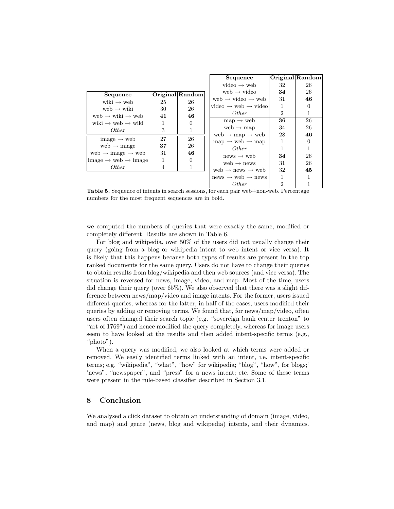|                                           |    |                 | Sequence                                  |                | Original Random |
|-------------------------------------------|----|-----------------|-------------------------------------------|----------------|-----------------|
|                                           |    |                 | video $\rightarrow$ web                   | 32             | 26              |
| Sequence                                  |    | Original Random | web $\rightarrow$ video                   | 34             | 26              |
| wiki $\rightarrow$ web                    | 25 | 26              | web $\rightarrow$ video $\rightarrow$ web | 31             | 46              |
| web $\rightarrow$ wiki                    | 30 | 26              | $video \rightarrow web \rightarrow video$ | 1              | $\Omega$        |
| web $\rightarrow$ wiki $\rightarrow$ web  | 41 | 46              | Other                                     | $\overline{2}$ | 1               |
| wiki $\rightarrow$ web $\rightarrow$ wiki |    | 0               | $map \rightarrow web$                     | 36             | 26              |
|                                           |    |                 | web $\rightarrow$ map                     | 34             | 26              |
| Other                                     | 3  |                 | web $\rightarrow$ map $\rightarrow$ web   | 28             | 46              |
| $image \rightarrow web$                   | 27 | 26              | $map \rightarrow web \rightarrow map$     | 1              | $\Omega$        |
| web $\rightarrow$ image                   | 37 | 26              | Other                                     |                | 1               |
| web $\rightarrow$ image $\rightarrow$ web | 31 | 46              | $news \rightarrow web$                    | 34             | 26              |
| $image \rightarrow web \rightarrow image$ | 1  | 0               |                                           | 31             |                 |
| Other                                     | 4  |                 | web $\rightarrow$ news                    |                | 26              |
|                                           |    |                 | web $\rightarrow$ news $\rightarrow$ web  | 32             | 45              |
|                                           |    |                 | $news \rightarrow web \rightarrow news$   | 1              |                 |
|                                           |    |                 | Other                                     | $\overline{2}$ |                 |

Table 5. Sequence of intents in search sessions, for each pair web+non-web. Percentage numbers for the most frequent sequences are in bold.

we computed the numbers of queries that were exactly the same, modified or completely different. Results are shown in Table 6.

For blog and wikipedia, over 50% of the users did not usually change their query (going from a blog or wikipedia intent to web intent or vice versa). It is likely that this happens because both types of results are present in the top ranked documents for the same query. Users do not have to change their queries to obtain results from blog/wikipedia and then web sources (and vice versa). The situation is reversed for news, image, video, and map. Most of the time, users did change their query (over 65%). We also observed that there was a slight difference between news/map/video and image intents. For the former, users issued different queries, whereas for the latter, in half of the cases, users modified their queries by adding or removing terms. We found that, for news/map/video, often users often changed their search topic (e.g. "sovereign bank center trenton" to "art of 1769") and hence modified the query completely, whereas for image users seem to have looked at the results and then added intent-specific terms (e.g., "photo").

When a query was modified, we also looked at which terms were added or removed. We easily identified terms linked with an intent, i.e. intent-specific terms; e.g. "wikipedia", "what", "how" for wikipedia; "blog", "how", for blogs;' 'news", "newspaper", and "press" for a news intent; etc. Some of these terms were present in the rule-based classifier described in Section 3.1.

### 8 Conclusion

We analysed a click dataset to obtain an understanding of domain (image, video, and map) and genre (news, blog and wikipedia) intents, and their dynamics.